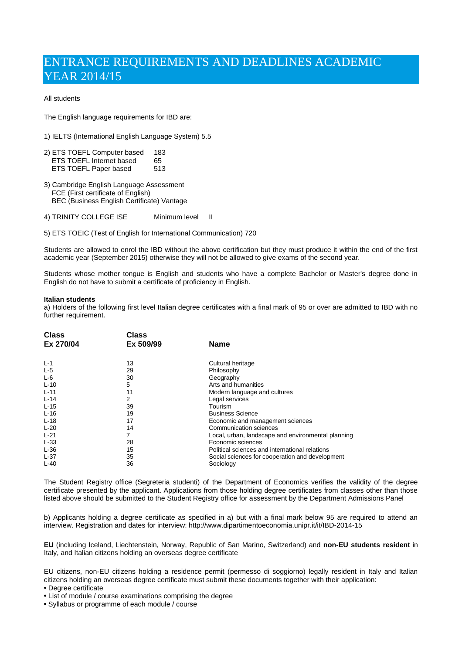# ENTRANCE REQUIREMENTS AND DEADLINES ACADEMIC YEAR 2014/15

## All students

The English language requirements for IBD are:

- 1) IELTS (International English Language System) 5.5
- 2) ETS TOEFL Computer based 183 ETS TOEFL Internet based 65<br>FTS TOEFL Paper based 513 ETS TOEFL Paper based
- 3) Cambridge English Language Assessment FCE (First certificate of English) BEC (Business English Certificate) Vantage
- 4) TRINITY COLLEGE ISE Minimum level II
- 5) ETS TOEIC (Test of English for International Communication) 720

Students are allowed to enrol the IBD without the above certification but they must produce it within the end of the first academic year (September 2015) otherwise they will not be allowed to give exams of the second year.

Students whose mother tongue is English and students who have a complete Bachelor or Master's degree done in English do not have to submit a certificate of proficiency in English.

#### **Italian students**

a) Holders of the following first level Italian degree certificates with a final mark of 95 or over are admitted to IBD with no further requirement.

| <b>Class</b><br>Ex 270/04 | Class<br>Ex 509/99 | <b>Name</b>                                        |
|---------------------------|--------------------|----------------------------------------------------|
|                           |                    |                                                    |
| $L-5$                     | 29                 | Philosophy                                         |
| $L-6$                     | 30                 | Geography                                          |
| $L-10$                    | 5                  | Arts and humanities                                |
| $L - 11$                  | 11                 | Modern language and cultures                       |
| $L-14$                    | 2                  | Legal services                                     |
| $L-15$                    | 39                 | Tourism                                            |
| $L-16$                    | 19                 | <b>Business Science</b>                            |
| $L-18$                    | 17                 | Economic and management sciences                   |
| $L-20$                    | 14                 | Communication sciences                             |
| $L-21$                    | 7                  | Local, urban, landscape and environmental planning |
| $L-33$                    | 28                 | Economic sciences                                  |
| $L-36$                    | 15                 | Political sciences and international relations     |
| $L-37$                    | 35                 | Social sciences for cooperation and development    |
| $L-40$                    | 36                 | Sociology                                          |

The Student Registry office (Segreteria studenti) of the Department of Economics verifies the validity of the degree certificate presented by the applicant. Applications from those holding degree certificates from classes other than those listed above should be submitted to the Student Registry office for assessment by the Department Admissions Panel

b) Applicants holding a degree certificate as specified in a) but with a final mark below 95 are required to attend an interview. Registration and dates for interview: http://www.dipartimentoeconomia.unipr.it/it/IBD-2014-15

**EU** (including Iceland, Liechtenstein, Norway, Republic of San Marino, Switzerland) and **non-EU students resident** in Italy, and Italian citizens holding an overseas degree certificate

EU citizens, non-EU citizens holding a residence permit (permesso di soggiorno) legally resident in Italy and Italian citizens holding an overseas degree certificate must submit these documents together with their application:

- Degree certificate
- List of module / course examinations comprising the degree
- Syllabus or programme of each module / course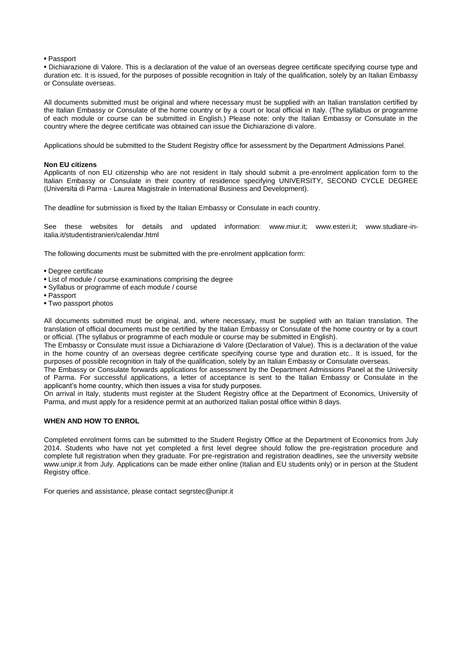#### • Passport

• Dichiarazione di Valore. This is a declaration of the value of an overseas degree certificate specifying course type and duration etc. It is issued, for the purposes of possible recognition in Italy of the qualification, solely by an Italian Embassy or Consulate overseas.

All documents submitted must be original and where necessary must be supplied with an Italian translation certified by the Italian Embassy or Consulate of the home country or by a court or local official in Italy. (The syllabus or programme of each module or course can be submitted in English.) Please note: only the Italian Embassy or Consulate in the country where the degree certificate was obtained can issue the Dichiarazione di valore.

Applications should be submitted to the Student Registry office for assessment by the Department Admissions Panel.

#### **Non EU citizens**

Applicants of non EU citizenship who are not resident in Italy should submit a pre-enrolment application form to the Italian Embassy or Consulate in their country of residence specifying UNIVERSITY, SECOND CYCLE DEGREE (Universitàdi Parma - Laurea Magistrale in International Business and Development).

The deadline for submission is fixed by the Italian Embassy or Consulate in each country.

See these websites for details and updated information: www.miur.it; www.esteri.it; www.studiare-initalia.it/studentistranieri/calendar.html

The following documents must be submitted with the pre-enrolment application form:

- Degree certificate
- List of module / course examinations comprising the degree
- Syllabus or programme of each module / course
- Passport
- Two passport photos

All documents submitted must be original, and, where necessary, must be supplied with an Italian translation. The translation of official documents must be certified by the Italian Embassy or Consulate of the home country or by a court or official. (The syllabus or programme of each module or course may be submitted in English).

The Embassy or Consulate must issue a Dichiarazione di Valore (Declaration of Value). This is a declaration of the value in the home country of an overseas degree certificate specifying course type and duration etc.. It is issued, for the purposes of possible recognition in Italy of the qualification, solely by an Italian Embassy or Consulate overseas.

The Embassy or Consulate forwards applications for assessment by the Department Admissions Panel at the University of Parma. For successful applications, a letter of acceptance is sent to the Italian Embassy or Consulate in the applicant's home country, which then issues a visa for study purposes.

On arrival in Italy, students must register at the Student Registry office at the Department of Economics, University of Parma, and must apply for a residence permit at an authorized Italian postal office within 8 days.

## **WHEN AND HOW TO ENROL**

Completed enrolment forms can be submitted to the Student Registry Office at the Department of Economics from July 2014. Students who have not yet completed a first level degree should follow the pre-registration procedure and complete full registration when they graduate. For pre-registration and registration deadlines, see the university website www.unipr.it from July. Applications can be made either online (Italian and EU students only) or in person at the Student Registry office.

For queries and assistance, please contact segrstec@unipr.it